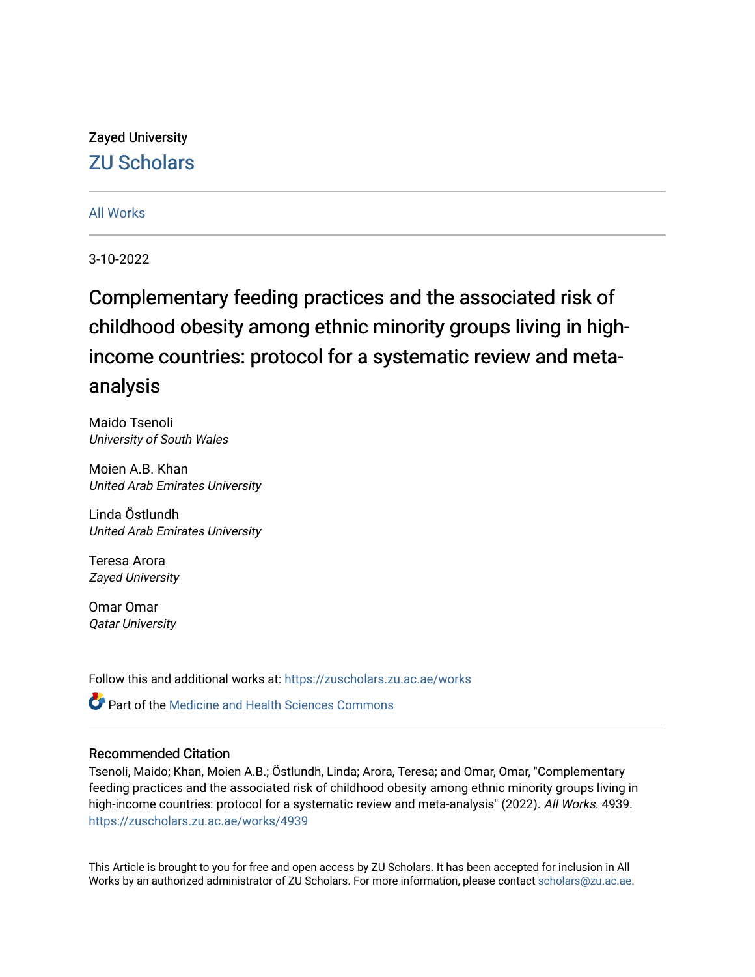# Zayed University [ZU Scholars](https://zuscholars.zu.ac.ae/)

# [All Works](https://zuscholars.zu.ac.ae/works)

3-10-2022

# Complementary feeding practices and the associated risk of childhood obesity among ethnic minority groups living in highincome countries: protocol for a systematic review and metaanalysis

Maido Tsenoli University of South Wales

Moien A.B. Khan United Arab Emirates University

Linda Östlundh United Arab Emirates University

Teresa Arora Zayed University

Omar Omar Qatar University

Follow this and additional works at: [https://zuscholars.zu.ac.ae/works](https://zuscholars.zu.ac.ae/works?utm_source=zuscholars.zu.ac.ae%2Fworks%2F4939&utm_medium=PDF&utm_campaign=PDFCoverPages)

**Part of the Medicine and Health Sciences Commons** 

# Recommended Citation

Tsenoli, Maido; Khan, Moien A.B.; Östlundh, Linda; Arora, Teresa; and Omar, Omar, "Complementary feeding practices and the associated risk of childhood obesity among ethnic minority groups living in high-income countries: protocol for a systematic review and meta-analysis" (2022). All Works. 4939. [https://zuscholars.zu.ac.ae/works/4939](https://zuscholars.zu.ac.ae/works/4939?utm_source=zuscholars.zu.ac.ae%2Fworks%2F4939&utm_medium=PDF&utm_campaign=PDFCoverPages)

This Article is brought to you for free and open access by ZU Scholars. It has been accepted for inclusion in All Works by an authorized administrator of ZU Scholars. For more information, please contact [scholars@zu.ac.ae](mailto:scholars@zu.ac.ae).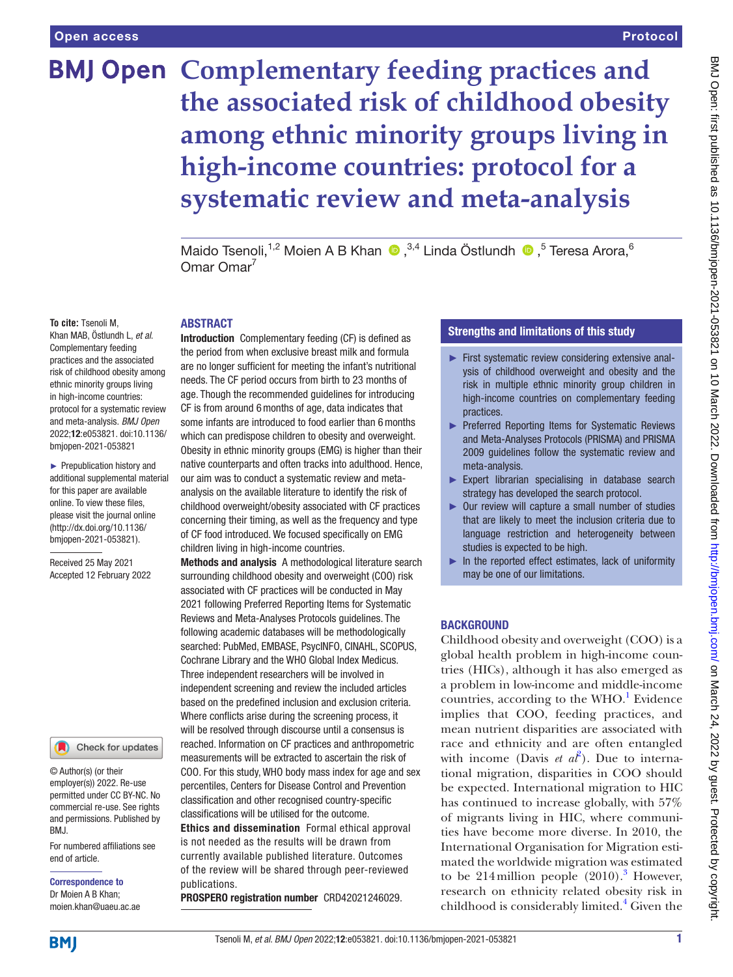# Protocol

# **BMJ Open Complementary feeding practices and the associated risk of childhood obesity among ethnic minority groups living in high-income countries: protocol for a systematic review and meta-analysis**

MaidoTsenoli,<sup>1,2</sup> Moien A B Khan  $\bullet$ ,<sup>3,4</sup> Linda Östlundh  $\bullet$ ,<sup>5</sup> Teresa Arora,<sup>6</sup>  $O$ mar  $O$ mar<sup>7</sup>

#### **To cite:** Tsenoli M,

Khan MAB, Östlundh L, *et al*. Complementary feeding practices and the associated risk of childhood obesity among ethnic minority groups living in high-income countries: protocol for a systematic review and meta-analysis. *BMJ Open* 2022;12:e053821. doi:10.1136/ bmjopen-2021-053821

► Prepublication history and additional supplemental material for this paper are available online. To view these files, please visit the journal online [\(http://dx.doi.org/10.1136/](http://dx.doi.org/10.1136/bmjopen-2021-053821) [bmjopen-2021-053821](http://dx.doi.org/10.1136/bmjopen-2021-053821)).

Received 25 May 2021 Accepted 12 February 2022



© Author(s) (or their employer(s)) 2022. Re-use permitted under CC BY-NC. No commercial re-use. See rights and permissions. Published by BMJ.

For numbered affiliations see end of article.

Correspondence to Dr Moien A B Khan; moien.khan@uaeu.ac.ae

# ABSTRACT

Introduction Complementary feeding (CF) is defined as the period from when exclusive breast milk and formula are no longer sufficient for meeting the infant's nutritional needs. The CF period occurs from birth to 23 months of age. Though the recommended guidelines for introducing CF is from around 6months of age, data indicates that some infants are introduced to food earlier than 6months which can predispose children to obesity and overweight. Obesity in ethnic minority groups (EMG) is higher than their native counterparts and often tracks into adulthood. Hence, our aim was to conduct a systematic review and metaanalysis on the available literature to identify the risk of childhood overweight/obesity associated with CF practices concerning their timing, as well as the frequency and type of CF food introduced. We focused specifically on EMG children living in high-income countries.

Methods and analysis A methodological literature search surrounding childhood obesity and overweight (COO) risk associated with CF practices will be conducted in May 2021 following Preferred Reporting Items for Systematic Reviews and Meta-Analyses Protocols guidelines. The following academic databases will be methodologically searched: PubMed, EMBASE, PsycINFO, CINAHL, SCOPUS, Cochrane Library and the WHO Global Index Medicus. Three independent researchers will be involved in independent screening and review the included articles based on the predefined inclusion and exclusion criteria. Where conflicts arise during the screening process, it will be resolved through discourse until a consensus is reached. Information on CF practices and anthropometric measurements will be extracted to ascertain the risk of COO. For this study, WHO body mass index for age and sex percentiles, Centers for Disease Control and Prevention classification and other recognised country-specific classifications will be utilised for the outcome. Ethics and dissemination Formal ethical approval is not needed as the results will be drawn from currently available published literature. Outcomes of the review will be shared through peer-reviewed publications.

PROSPERO registration number CRD42021246029.

# Strengths and limitations of this study

- ► First systematic review considering extensive analysis of childhood overweight and obesity and the risk in multiple ethnic minority group children in high-income countries on complementary feeding practices.
- ► Preferred Reporting Items for Systematic Reviews and Meta-Analyses Protocols (PRISMA) and PRISMA 2009 guidelines follow the systematic review and meta-analysis.
- ► Expert librarian specialising in database search strategy has developed the search protocol.
- ► Our review will capture a small number of studies that are likely to meet the inclusion criteria due to language restriction and heterogeneity between studies is expected to be high.
- ► In the reported effect estimates, lack of uniformity may be one of our limitations.

# **BACKGROUND**

Childhood obesity and overweight (COO) is a global health problem in high-income countries (HICs), although it has also emerged as a problem in low-income and middle-income countries, according to the WHO.<sup>[1](#page-5-0)</sup> Evidence implies that COO, feeding practices, and mean nutrient disparities are associated with race and ethnicity and are often entangled with income (Davis *et al*<sup>[2](#page-5-1)</sup>). Due to international migration, disparities in COO should be expected. International migration to HIC has continued to increase globally, with 57% of migrants living in HIC, where communities have become more diverse. In 2010, the International Organisation for Migration estimated the worldwide migration was estimated to be  $214$  million people  $(2010).$ <sup>[3](#page-6-0)</sup> However, research on ethnicity related obesity risk in childhood is considerably limited.<sup>4</sup> Given the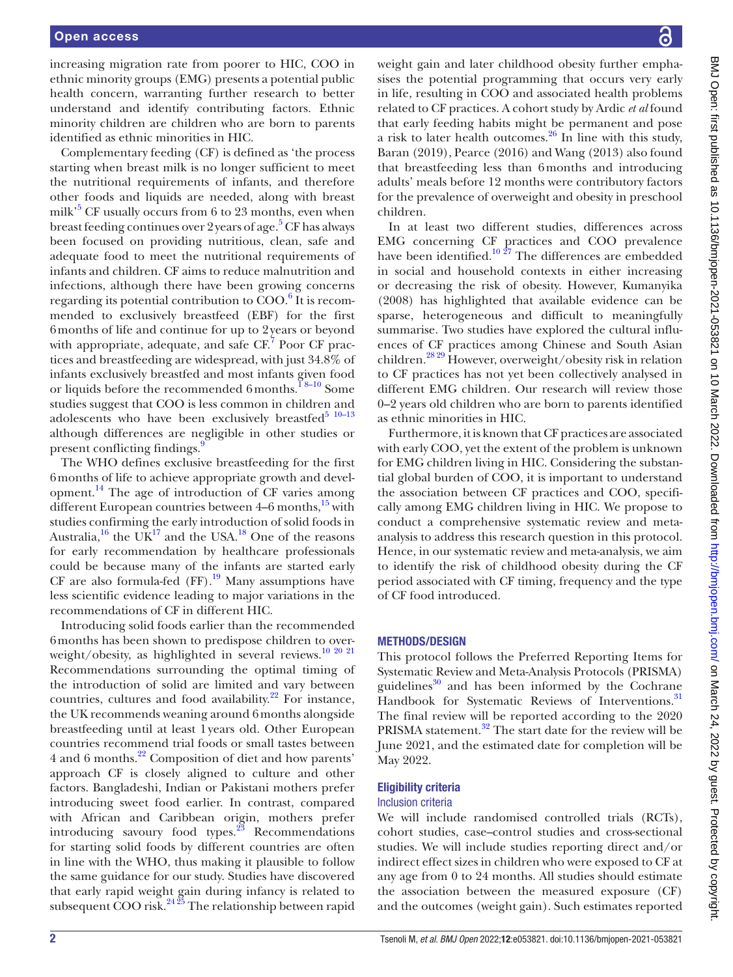increasing migration rate from poorer to HIC, COO in ethnic minority groups (EMG) presents a potential public health concern, warranting further research to better understand and identify contributing factors. Ethnic minority children are children who are born to parents identified as ethnic minorities in HIC.

Complementary feeding (CF) is defined as 'the process starting when breast milk is no longer sufficient to meet the nutritional requirements of infants, and therefore other foods and liquids are needed, along with breast milk<sup>[5](#page-6-2)</sup> CF usually occurs from 6 to 23 months, even when breast feeding continues over 2 years of age.<sup>5</sup> CF has always been focused on providing nutritious, clean, safe and adequate food to meet the nutritional requirements of infants and children. CF aims to reduce malnutrition and infections, although there have been growing concerns regarding its potential contribution to  $COO<sup>6</sup>$  It is recommended to exclusively breastfeed (EBF) for the first 6months of life and continue for up to 2years or beyond with appropriate, adequate, and safe CF.<sup>[7](#page-6-4)</sup> Poor CF practices and breastfeeding are widespread, with just 34.8% of infants exclusively breastfed and most infants given food or liquids before the recommended 6months.<sup>18–10</sup> Some studies suggest that COO is less common in children and adolescents who have been exclusively breastfed $5^{10-13}$ although differences are negligible in other studies or present conflicting findings.<sup>[9](#page-6-5)</sup>

The WHO defines exclusive breastfeeding for the first 6months of life to achieve appropriate growth and development[.14](#page-6-6) The age of introduction of CF varies among different European countries between  $4-6$  months,  $15$  with studies confirming the early introduction of solid foods in Australia,<sup>[16](#page-6-8)</sup> the UK<sup>17</sup> and the USA.<sup>18</sup> One of the reasons for early recommendation by healthcare professionals could be because many of the infants are started early CF are also formula-fed  $(FF)$ .<sup>19</sup> Many assumptions have less scientific evidence leading to major variations in the recommendations of CF in different HIC.

Introducing solid foods earlier than the recommended 6months has been shown to predispose children to over-weight/obesity, as highlighted in several reviews.<sup>[10 20 21](#page-6-12)</sup> Recommendations surrounding the optimal timing of the introduction of solid are limited and vary between countries, cultures and food availability. $22$  For instance, the UK recommends weaning around 6months alongside breastfeeding until at least 1years old. Other European countries recommend trial foods or small tastes between 4 and 6 months.[22](#page-6-13) Composition of diet and how parents' approach CF is closely aligned to culture and other factors. Bangladeshi, Indian or Pakistani mothers prefer introducing sweet food earlier. In contrast, compared with African and Caribbean origin, mothers prefer introducing savoury food types. $^{23}$  Recommendations for starting solid foods by different countries are often in line with the WHO, thus making it plausible to follow the same guidance for our study. Studies have discovered that early rapid weight gain during infancy is related to subsequent COO risk. $2425$  The relationship between rapid

weight gain and later childhood obesity further emphasises the potential programming that occurs very early in life, resulting in COO and associated health problems related to CF practices. A cohort study by Ardic *et al* found that early feeding habits might be permanent and pose a risk to later health outcomes.[26](#page-6-16) In line with this study, Baran (2019), Pearce (2016) and Wang (2013) also found that breastfeeding less than 6months and introducing adults' meals before 12 months were contributory factors for the prevalence of overweight and obesity in preschool children.

In at least two different studies, differences across EMG concerning CF practices and COO prevalence have been identified.<sup>10  $27$ </sup> The differences are embedded in social and household contexts in either increasing or decreasing the risk of obesity. However, Kumanyika (2008) has highlighted that available evidence can be sparse, heterogeneous and difficult to meaningfully summarise. Two studies have explored the cultural influences of CF practices among Chinese and South Asian children.<sup>28 29</sup> However, overweight/obesity risk in relation to CF practices has not yet been collectively analysed in different EMG children. Our research will review those 0–2 years old children who are born to parents identified as ethnic minorities in HIC.

Furthermore, it is known that CF practices are associated with early COO, yet the extent of the problem is unknown for EMG children living in HIC. Considering the substantial global burden of COO, it is important to understand the association between CF practices and COO, specifically among EMG children living in HIC. We propose to conduct a comprehensive systematic review and metaanalysis to address this research question in this protocol. Hence, in our systematic review and meta-analysis, we aim to identify the risk of childhood obesity during the CF period associated with CF timing, frequency and the type of CF food introduced.

#### METHODS/DESIGN

This protocol follows the Preferred Reporting Items for Systematic Review and Meta-Analysis Protocols (PRISMA) guidelines $30$  and has been informed by the Cochrane Handbook for Systematic Reviews of Interventions.<sup>[31](#page-6-19)</sup> The final review will be reported according to the 2020 PRISMA statement.<sup>32</sup> The start date for the review will be June 2021, and the estimated date for completion will be May 2022.

#### Eligibility criteria

#### Inclusion criteria

We will include randomised controlled trials (RCTs), cohort studies, case–control studies and cross-sectional studies. We will include studies reporting direct and/or indirect effect sizes in children who were exposed to CF at any age from 0 to 24 months. All studies should estimate the association between the measured exposure (CF) and the outcomes (weight gain). Such estimates reported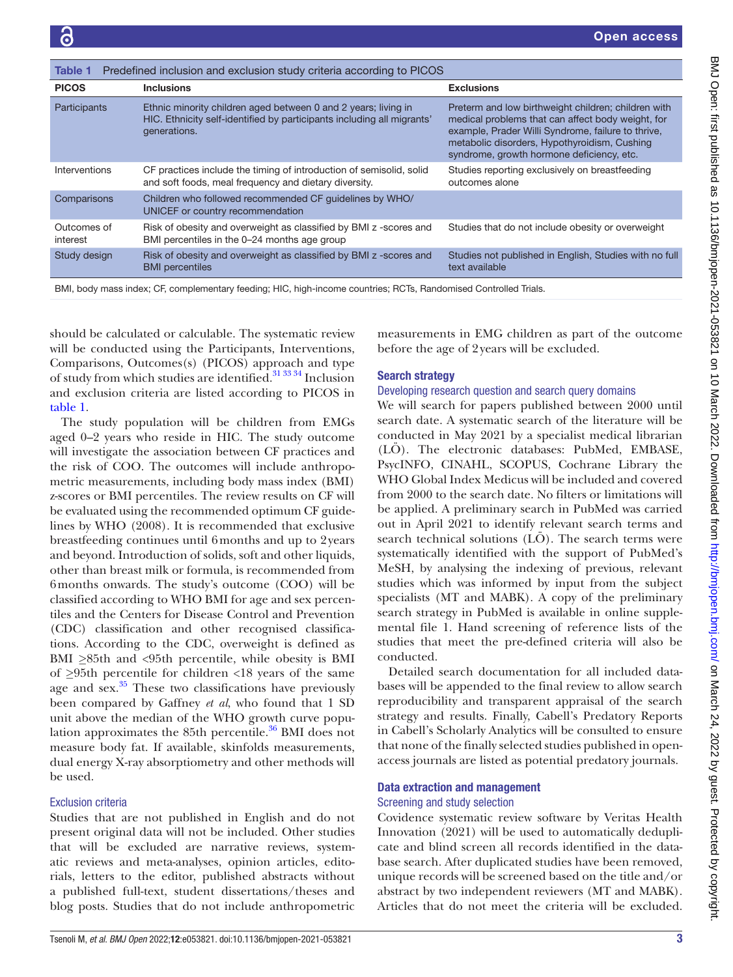<span id="page-3-0"></span>

| Predefined inclusion and exclusion study criteria according to PICOS<br><b>Table 1</b>                           |                                                                                                                                                          |                                                                                                                                                                                                                                                             |
|------------------------------------------------------------------------------------------------------------------|----------------------------------------------------------------------------------------------------------------------------------------------------------|-------------------------------------------------------------------------------------------------------------------------------------------------------------------------------------------------------------------------------------------------------------|
| <b>PICOS</b>                                                                                                     | <b>Inclusions</b>                                                                                                                                        | <b>Exclusions</b>                                                                                                                                                                                                                                           |
| Participants                                                                                                     | Ethnic minority children aged between 0 and 2 years; living in<br>HIC. Ethnicity self-identified by participants including all migrants'<br>generations. | Preterm and low birthweight children; children with<br>medical problems that can affect body weight, for<br>example, Prader Willi Syndrome, failure to thrive,<br>metabolic disorders, Hypothyroidism, Cushing<br>syndrome, growth hormone deficiency, etc. |
| Interventions                                                                                                    | CF practices include the timing of introduction of semisolid, solid<br>and soft foods, meal frequency and dietary diversity.                             | Studies reporting exclusively on breastfeeding<br>outcomes alone                                                                                                                                                                                            |
| Comparisons                                                                                                      | Children who followed recommended CF quidelines by WHO/<br>UNICEF or country recommendation                                                              |                                                                                                                                                                                                                                                             |
| Outcomes of<br>interest                                                                                          | Risk of obesity and overweight as classified by BMI z -scores and<br>BMI percentiles in the 0-24 months age group                                        | Studies that do not include obesity or overweight                                                                                                                                                                                                           |
| Study design                                                                                                     | Risk of obesity and overweight as classified by BMI z -scores and<br><b>BMI</b> percentiles                                                              | Studies not published in English, Studies with no full<br>text available                                                                                                                                                                                    |
| BMI, body mass index; CF, complementary feeding; HIC, high-income countries; RCTs, Randomised Controlled Trials. |                                                                                                                                                          |                                                                                                                                                                                                                                                             |

should be calculated or calculable. The systematic review will be conducted using the Participants, Interventions, Comparisons, Outcomes(s) (PICOS) approach and type of study from which studies are identified.<sup>31</sup> 33<sup>34</sup> Inclusion and exclusion criteria are listed according to PICOS in [table](#page-3-0) 1.

The study population will be children from EMGs aged 0–2 years who reside in HIC. The study outcome will investigate the association between CF practices and the risk of COO. The outcomes will include anthropometric measurements, including body mass index (BMI) z-scores or BMI percentiles. The review results on CF will be evaluated using the recommended optimum CF guidelines by WHO (2008). It is recommended that exclusive breastfeeding continues until 6months and up to 2years and beyond. Introduction of solids, soft and other liquids, other than breast milk or formula, is recommended from 6months onwards. The study's outcome (COO) will be classified according to WHO BMI for age and sex percentiles and the Centers for Disease Control and Prevention (CDC) classification and other recognised classifications. According to the CDC, overweight is defined as BMI *≥*85th and <95th percentile, while obesity is BMI of *≥*95th percentile for children <18 years of the same age and sex.<sup>35</sup> These two classifications have previously been compared by Gaffney *et al*, who found that 1 SD unit above the median of the WHO growth curve population approximates the 85th percentile.<sup>36</sup> BMI does not measure body fat. If available, skinfolds measurements, dual energy X-ray absorptiometry and other methods will be used.

### Exclusion criteria

Studies that are not published in English and do not present original data will not be included. Other studies that will be excluded are narrative reviews, systematic reviews and meta-analyses, opinion articles, editorials, letters to the editor, published abstracts without a published full-text, student dissertations/theses and blog posts. Studies that do not include anthropometric

measurements in EMG children as part of the outcome before the age of 2years will be excluded.

## Search strategy

#### Developing research question and search query domains

We will search for papers published between 2000 until search date. A systematic search of the literature will be conducted in May 2021 by a specialist medical librarian (LÖ). The electronic databases: PubMed, EMBASE, PsycINFO, CINAHL, SCOPUS, Cochrane Library the WHO Global Index Medicus will be included and covered from 2000 to the search date. No filters or limitations will be applied. A preliminary search in PubMed was carried out in April 2021 to identify relevant search terms and search technical solutions  $(L\ddot{O})$ . The search terms were systematically identified with the support of PubMed's MeSH, by analysing the indexing of previous, relevant studies which was informed by input from the subject specialists (MT and MABK). A copy of the preliminary search strategy in PubMed is available in [online supple](https://dx.doi.org/10.1136/bmjopen-2021-053821)[mental file 1](https://dx.doi.org/10.1136/bmjopen-2021-053821). Hand screening of reference lists of the studies that meet the pre-defined criteria will also be conducted.

Detailed search documentation for all included databases will be appended to the final review to allow search reproducibility and transparent appraisal of the search strategy and results. Finally, Cabell's Predatory Reports in Cabell's Scholarly Analytics will be consulted to ensure that none of the finally selected studies published in openaccess journals are listed as potential predatory journals.

#### Data extraction and management Screening and study selection

Covidence systematic review software by Veritas Health Innovation (2021) will be used to automatically deduplicate and blind screen all records identified in the database search. After duplicated studies have been removed, unique records will be screened based on the title and/or abstract by two independent reviewers (MT and MABK). Articles that do not meet the criteria will be excluded.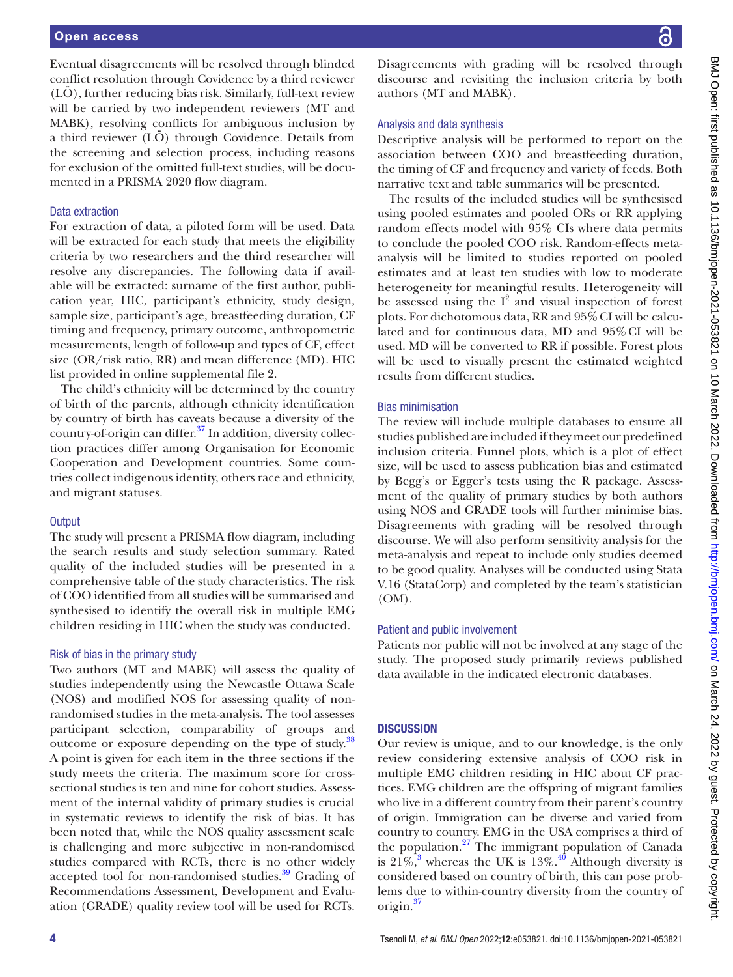Eventual disagreements will be resolved through blinded conflict resolution through Covidence by a third reviewer (LÖ), further reducing bias risk. Similarly, full-text review will be carried by two independent reviewers (MT and MABK), resolving conflicts for ambiguous inclusion by a third reviewer (LÖ) through Covidence. Details from the screening and selection process, including reasons for exclusion of the omitted full-text studies, will be documented in a PRISMA 2020 flow diagram.

#### Data extraction

For extraction of data, a piloted form will be used. Data will be extracted for each study that meets the eligibility criteria by two researchers and the third researcher will resolve any discrepancies. The following data if available will be extracted: surname of the first author, publication year, HIC, participant's ethnicity, study design, sample size, participant's age, breastfeeding duration, CF timing and frequency, primary outcome, anthropometric measurements, length of follow-up and types of CF, effect size (OR/risk ratio, RR) and mean difference (MD). HIC list provided in [online supplemental file 2.](https://dx.doi.org/10.1136/bmjopen-2021-053821)

The child's ethnicity will be determined by the country of birth of the parents, although ethnicity identification by country of birth has caveats because a diversity of the country-of-origin can differ.<sup>37</sup> In addition, diversity collection practices differ among Organisation for Economic Cooperation and Development countries. Some countries collect indigenous identity, others race and ethnicity, and migrant statuses.

#### **Output**

The study will present a PRISMA flow diagram, including the search results and study selection summary. Rated quality of the included studies will be presented in a comprehensive table of the study characteristics. The risk of COO identified from all studies will be summarised and synthesised to identify the overall risk in multiple EMG children residing in HIC when the study was conducted.

#### Risk of bias in the primary study

Two authors (MT and MABK) will assess the quality of studies independently using the Newcastle Ottawa Scale (NOS) and modified NOS for assessing quality of nonrandomised studies in the meta-analysis. The tool assesses participant selection, comparability of groups and outcome or exposure depending on the type of study.<sup>38</sup> A point is given for each item in the three sections if the study meets the criteria. The maximum score for crosssectional studies is ten and nine for cohort studies. Assessment of the internal validity of primary studies is crucial in systematic reviews to identify the risk of bias. It has been noted that, while the NOS quality assessment scale is challenging and more subjective in non-randomised studies compared with RCTs, there is no other widely accepted tool for non-randomised studies.<sup>39</sup> Grading of Recommendations Assessment, Development and Evaluation (GRADE) quality review tool will be used for RCTs.

Disagreements with grading will be resolved through discourse and revisiting the inclusion criteria by both authors (MT and MABK).

#### Analysis and data synthesis

Descriptive analysis will be performed to report on the association between COO and breastfeeding duration, the timing of CF and frequency and variety of feeds. Both narrative text and table summaries will be presented.

The results of the included studies will be synthesised using pooled estimates and pooled ORs or RR applying random effects model with 95% CIs where data permits to conclude the pooled COO risk. Random-effects metaanalysis will be limited to studies reported on pooled estimates and at least ten studies with low to moderate heterogeneity for meaningful results. Heterogeneity will be assessed using the  $I^2$  and visual inspection of forest plots. For dichotomous data, RR and 95% CI will be calculated and for continuous data, MD and 95%CI will be used. MD will be converted to RR if possible. Forest plots will be used to visually present the estimated weighted results from different studies.

#### Bias minimisation

The review will include multiple databases to ensure all studies published are included if they meet our predefined inclusion criteria. Funnel plots, which is a plot of effect size, will be used to assess publication bias and estimated by Begg's or Egger's tests using the R package. Assessment of the quality of primary studies by both authors using NOS and GRADE tools will further minimise bias. Disagreements with grading will be resolved through discourse. We will also perform sensitivity analysis for the meta-analysis and repeat to include only studies deemed to be good quality. Analyses will be conducted using Stata V.16 (StataCorp) and completed by the team's statistician (OM).

#### Patient and public involvement

Patients nor public will not be involved at any stage of the study. The proposed study primarily reviews published data available in the indicated electronic databases.

#### **DISCUSSION**

Our review is unique, and to our knowledge, is the only review considering extensive analysis of COO risk in multiple EMG children residing in HIC about CF practices. EMG children are the offspring of migrant families who live in a different country from their parent's country of origin. Immigration can be diverse and varied from country to country. EMG in the USA comprises a third of the population. $27$  The immigrant population of Canada is  $21\%$ ,<sup>[3](#page-6-0)</sup> whereas the UK is  $13\%$ .<sup>[40](#page-6-27)</sup> Although diversity is considered based on country of birth, this can pose problems due to within-country diversity from the country of origin.<sup>[37](#page-6-23)</sup>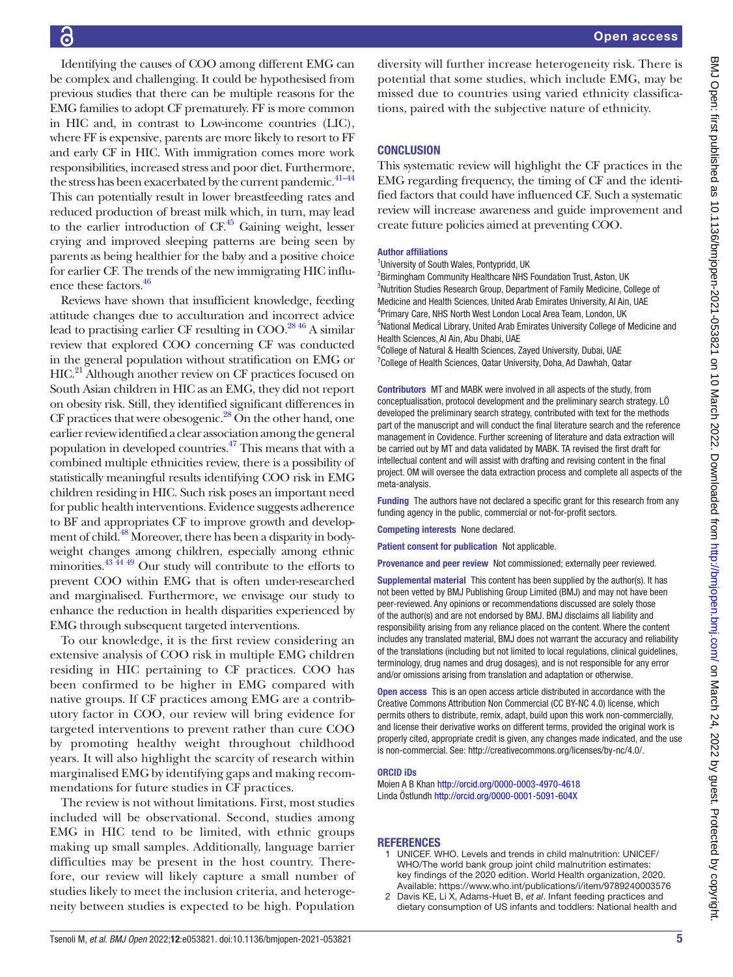# 6

Identifying the causes of COO among different EMG can be complex and challenging. It could be hypothesised from previous studies that there can be multiple reasons for the EMG families to adopt CF prematurely. FF is more common in HIC and, in contrast to Low-income countries (LIC), where FF is expensive, parents are more likely to resort to FF and early CF in HIC. With immigration comes more work responsibilities, increased stress and poor diet. Furthermore, the stress has been exacerbated by the current pandemic.<sup>41-44</sup> This can potentially result in lower breastfeeding rates and reduced production of breast milk which, in turn, may lead to the earlier introduction of  $CF<sup>45</sup>$  $CF<sup>45</sup>$  $CF<sup>45</sup>$  Gaining weight, lesser crying and improved sleeping patterns are being seen by parents as being healthier for the baby and a positive choice for earlier CF. The trends of the new immigrating HIC influence these factors.<sup>46</sup>

Reviews have shown that insufficient knowledge, feeding attitude changes due to acculturation and incorrect advice lead to practising earlier CF resulting in  $COO<sup>28.46</sup>$  A similar review that explored COO concerning CF was conducted in the general population without stratification on EMG or HIC.<sup>[21](#page-6-31)</sup> Although another review on CF practices focused on South Asian children in HIC as an EMG, they did not report on obesity risk. Still, they identified significant differences in CF practices that were obesogenic. $^{28}$  On the other hand, one earlier review identified a clear association among the general population in developed countries[.47](#page-6-32) This means that with a combined multiple ethnicities review, there is a possibility of statistically meaningful results identifying COO risk in EMG children residing in HIC. Such risk poses an important need for public health interventions. Evidence suggests adherence to BF and appropriates CF to improve growth and develop-ment of child.<sup>[48](#page-6-33)</sup> Moreover, there has been a disparity in bodyweight changes among children, especially among ethnic minorities. $43\frac{44}{49}$  Our study will contribute to the efforts to prevent COO within EMG that is often under-researched and marginalised. Furthermore, we envisage our study to enhance the reduction in health disparities experienced by EMG through subsequent targeted interventions.

To our knowledge, it is the first review considering an extensive analysis of COO risk in multiple EMG children residing in HIC pertaining to CF practices. COO has been confirmed to be higher in EMG compared with native groups. If CF practices among EMG are a contributory factor in COO, our review will bring evidence for targeted interventions to prevent rather than cure COO by promoting healthy weight throughout childhood years. It will also highlight the scarcity of research within marginalised EMG by identifying gaps and making recommendations for future studies in CF practices.

The review is not without limitations. First, most studies included will be observational. Second, studies among EMG in HIC tend to be limited, with ethnic groups making up small samples. Additionally, language barrier difficulties may be present in the host country. Therefore, our review will likely capture a small number of studies likely to meet the inclusion criteria, and heterogeneity between studies is expected to be high. Population

diversity will further increase heterogeneity risk. There is potential that some studies, which include EMG, may be missed due to countries using varied ethnicity classifications, paired with the subjective nature of ethnicity.

#### **CONCLUSION**

This systematic review will highlight the CF practices in the EMG regarding frequency, the timing of CF and the identified factors that could have influenced CF. Such a systematic review will increase awareness and guide improvement and create future policies aimed at preventing COO.

#### Author affiliations

<sup>1</sup>University of South Wales, Pontypridd, UK

<sup>2</sup> Birmingham Community Healthcare NHS Foundation Trust, Aston, UK <sup>3</sup>Nutrition Studies Research Group, Department of Family Medicine, College of Medicine and Health Sciences, United Arab Emirates University, Al Ain, UAE 4 Primary Care, NHS North West London Local Area Team, London, UK 5 National Medical Library, United Arab Emirates University College of Medicine and Health Sciences, Al Ain, Abu Dhabi, UAE

<sup>6</sup>College of Natural & Health Sciences, Zayed University, Dubai, UAE <sup>7</sup>College of Health Sciences, Qatar University, Doha, Ad Dawhah, Qatar

Contributors MT and MABK were involved in all aspects of the study, from conceptualisation, protocol development and the preliminary search strategy. LÖ developed the preliminary search strategy, contributed with text for the methods part of the manuscript and will conduct the final literature search and the reference management in Covidence. Further screening of literature and data extraction will be carried out by MT and data validated by MABK. TA revised the first draft for intellectual content and will assist with drafting and revising content in the final project. OM will oversee the data extraction process and complete all aspects of the meta-analysis.

Funding The authors have not declared a specific grant for this research from any funding agency in the public, commercial or not-for-profit sectors.

Competing interests None declared.

Patient consent for publication Not applicable.

Provenance and peer review Not commissioned; externally peer reviewed.

Supplemental material This content has been supplied by the author(s). It has not been vetted by BMJ Publishing Group Limited (BMJ) and may not have been peer-reviewed. Any opinions or recommendations discussed are solely those of the author(s) and are not endorsed by BMJ. BMJ disclaims all liability and responsibility arising from any reliance placed on the content. Where the content includes any translated material, BMJ does not warrant the accuracy and reliability of the translations (including but not limited to local regulations, clinical guidelines, terminology, drug names and drug dosages), and is not responsible for any error and/or omissions arising from translation and adaptation or otherwise.

Open access This is an open access article distributed in accordance with the Creative Commons Attribution Non Commercial (CC BY-NC 4.0) license, which permits others to distribute, remix, adapt, build upon this work non-commercially, and license their derivative works on different terms, provided the original work is properly cited, appropriate credit is given, any changes made indicated, and the use is non-commercial. See: [http://creativecommons.org/licenses/by-nc/4.0/.](http://creativecommons.org/licenses/by-nc/4.0/)

#### ORCID iDs

Moien A B Khan<http://orcid.org/0000-0003-4970-4618> Linda Östlundh<http://orcid.org/0000-0001-5091-604X>

#### **REFERENCES**

- <span id="page-5-0"></span>1 UNICEF. WHO. Levels and trends in child malnutrition: UNICEF/ WHO/The world bank group joint child malnutrition estimates: key findings of the 2020 edition. World Health organization, 2020. Available:<https://www.who.int/publications/i/item/9789240003576>
- <span id="page-5-1"></span>2 Davis KE, Li X, Adams-Huet B, *et al*. Infant feeding practices and dietary consumption of US infants and toddlers: National health and